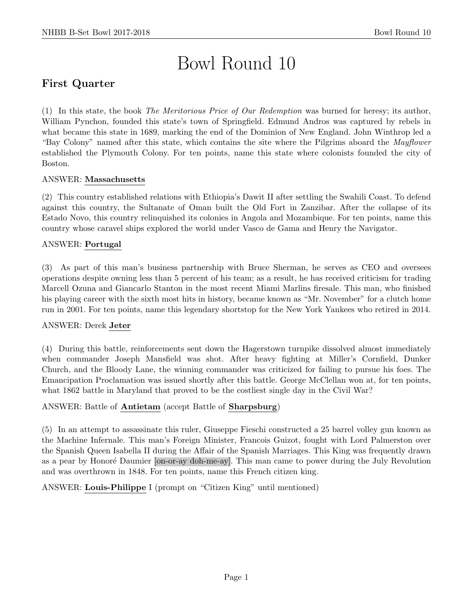# Bowl Round 10

# First Quarter

(1) In this state, the book The Meritorious Price of Our Redemption was burned for heresy; its author, William Pynchon, founded this state's town of Springfield. Edmund Andros was captured by rebels in what became this state in 1689, marking the end of the Dominion of New England. John Winthrop led a "Bay Colony" named after this state, which contains the site where the Pilgrims aboard the *Mayflower* established the Plymouth Colony. For ten points, name this state where colonists founded the city of Boston.

## ANSWER: Massachusetts

(2) This country established relations with Ethiopia's Dawit II after settling the Swahili Coast. To defend against this country, the Sultanate of Oman built the Old Fort in Zanzibar. After the collapse of its Estado Novo, this country relinquished its colonies in Angola and Mozambique. For ten points, name this country whose caravel ships explored the world under Vasco de Gama and Henry the Navigator.

## ANSWER: Portugal

(3) As part of this man's business partnership with Bruce Sherman, he serves as CEO and oversees operations despite owning less than 5 percent of his team; as a result, he has received criticism for trading Marcell Ozuna and Giancarlo Stanton in the most recent Miami Marlins firesale. This man, who finished his playing career with the sixth most hits in history, became known as "Mr. November" for a clutch home run in 2001. For ten points, name this legendary shortstop for the New York Yankees who retired in 2014.

#### ANSWER: Derek Jeter

(4) During this battle, reinforcements sent down the Hagerstown turnpike dissolved almost immediately when commander Joseph Mansfield was shot. After heavy fighting at Miller's Cornfield, Dunker Church, and the Bloody Lane, the winning commander was criticized for failing to pursue his foes. The Emancipation Proclamation was issued shortly after this battle. George McClellan won at, for ten points, what 1862 battle in Maryland that proved to be the costliest single day in the Civil War?

## ANSWER: Battle of Antietam (accept Battle of Sharpsburg)

(5) In an attempt to assassinate this ruler, Giuseppe Fieschi constructed a 25 barrel volley gun known as the Machine Infernale. This man's Foreign Minister, Francois Guizot, fought with Lord Palmerston over the Spanish Queen Isabella II during the Affair of the Spanish Marriages. This King was frequently drawn as a pear by Honoré Daumier [on-or-ay doh-me-ay]. This man came to power during the July Revolution and was overthrown in 1848. For ten points, name this French citizen king.

ANSWER: Louis-Philippe I (prompt on "Citizen King" until mentioned)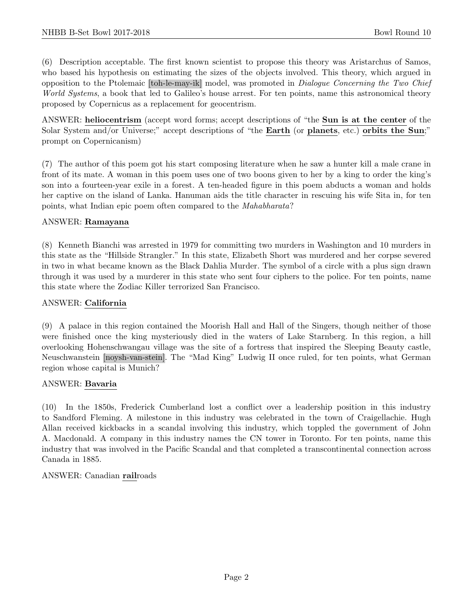(6) Description acceptable. The first known scientist to propose this theory was Aristarchus of Samos, who based his hypothesis on estimating the sizes of the objects involved. This theory, which argued in opposition to the Ptolemaic [toh-le-may-ik] model, was promoted in Dialogue Concerning the Two Chief World Systems, a book that led to Galileo's house arrest. For ten points, name this astronomical theory proposed by Copernicus as a replacement for geocentrism.

ANSWER: heliocentrism (accept word forms; accept descriptions of "the Sun is at the center of the Solar System and/or Universe;" accept descriptions of "the **Earth** (or **planets**, etc.) orbits the Sun;" prompt on Copernicanism)

(7) The author of this poem got his start composing literature when he saw a hunter kill a male crane in front of its mate. A woman in this poem uses one of two boons given to her by a king to order the king's son into a fourteen-year exile in a forest. A ten-headed figure in this poem abducts a woman and holds her captive on the island of Lanka. Hanuman aids the title character in rescuing his wife Sita in, for ten points, what Indian epic poem often compared to the Mahabharata?

## ANSWER: Ramayana

(8) Kenneth Bianchi was arrested in 1979 for committing two murders in Washington and 10 murders in this state as the "Hillside Strangler." In this state, Elizabeth Short was murdered and her corpse severed in two in what became known as the Black Dahlia Murder. The symbol of a circle with a plus sign drawn through it was used by a murderer in this state who sent four ciphers to the police. For ten points, name this state where the Zodiac Killer terrorized San Francisco.

## ANSWER: California

(9) A palace in this region contained the Moorish Hall and Hall of the Singers, though neither of those were finished once the king mysteriously died in the waters of Lake Starnberg. In this region, a hill overlooking Hohenschwangau village was the site of a fortress that inspired the Sleeping Beauty castle, Neuschwanstein [noysh-van-stein]. The "Mad King" Ludwig II once ruled, for ten points, what German region whose capital is Munich?

## ANSWER: Bavaria

(10) In the 1850s, Frederick Cumberland lost a conflict over a leadership position in this industry to Sandford Fleming. A milestone in this industry was celebrated in the town of Craigellachie. Hugh Allan received kickbacks in a scandal involving this industry, which toppled the government of John A. Macdonald. A company in this industry names the CN tower in Toronto. For ten points, name this industry that was involved in the Pacific Scandal and that completed a transcontinental connection across Canada in 1885.

## ANSWER: Canadian railroads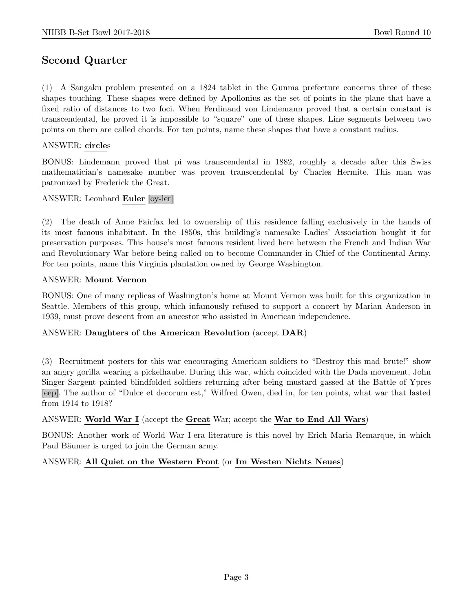# Second Quarter

(1) A Sangaku problem presented on a 1824 tablet in the Gunma prefecture concerns three of these shapes touching. These shapes were defined by Apollonius as the set of points in the plane that have a fixed ratio of distances to two foci. When Ferdinand von Lindemann proved that a certain constant is transcendental, he proved it is impossible to "square" one of these shapes. Line segments between two points on them are called chords. For ten points, name these shapes that have a constant radius.

#### ANSWER: circles

BONUS: Lindemann proved that pi was transcendental in 1882, roughly a decade after this Swiss mathematician's namesake number was proven transcendental by Charles Hermite. This man was patronized by Frederick the Great.

#### ANSWER: Leonhard Euler [oy-ler]

(2) The death of Anne Fairfax led to ownership of this residence falling exclusively in the hands of its most famous inhabitant. In the 1850s, this building's namesake Ladies' Association bought it for preservation purposes. This house's most famous resident lived here between the French and Indian War and Revolutionary War before being called on to become Commander-in-Chief of the Continental Army. For ten points, name this Virginia plantation owned by George Washington.

#### ANSWER: Mount Vernon

BONUS: One of many replicas of Washington's home at Mount Vernon was built for this organization in Seattle. Members of this group, which infamously refused to support a concert by Marian Anderson in 1939, must prove descent from an ancestor who assisted in American independence.

#### ANSWER: Daughters of the American Revolution (accept DAR)

(3) Recruitment posters for this war encouraging American soldiers to "Destroy this mad brute!" show an angry gorilla wearing a pickelhaube. During this war, which coincided with the Dada movement, John Singer Sargent painted blindfolded soldiers returning after being mustard gassed at the Battle of Ypres [eep]. The author of "Dulce et decorum est," Wilfred Owen, died in, for ten points, what war that lasted from 1914 to 1918?

## ANSWER: World War I (accept the Great War; accept the War to End All Wars)

BONUS: Another work of World War I-era literature is this novel by Erich Maria Remarque, in which Paul Bäumer is urged to join the German army.

#### ANSWER: All Quiet on the Western Front (or Im Westen Nichts Neues)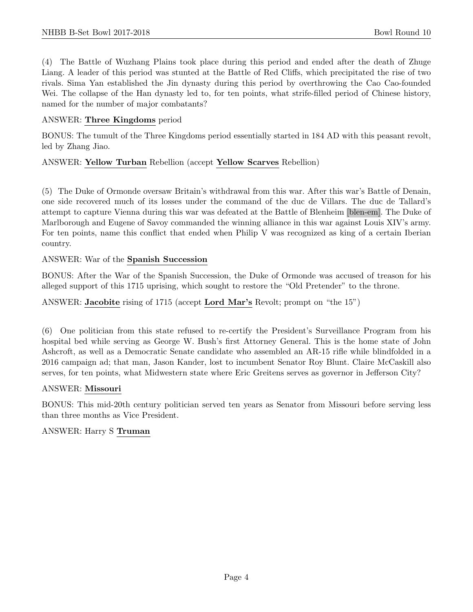(4) The Battle of Wuzhang Plains took place during this period and ended after the death of Zhuge Liang. A leader of this period was stunted at the Battle of Red Cliffs, which precipitated the rise of two rivals. Sima Yan established the Jin dynasty during this period by overthrowing the Cao Cao-founded Wei. The collapse of the Han dynasty led to, for ten points, what strife-filled period of Chinese history, named for the number of major combatants?

#### ANSWER: Three Kingdoms period

BONUS: The tumult of the Three Kingdoms period essentially started in 184 AD with this peasant revolt, led by Zhang Jiao.

#### ANSWER: Yellow Turban Rebellion (accept Yellow Scarves Rebellion)

(5) The Duke of Ormonde oversaw Britain's withdrawal from this war. After this war's Battle of Denain, one side recovered much of its losses under the command of the duc de Villars. The duc de Tallard's attempt to capture Vienna during this war was defeated at the Battle of Blenheim [blen-em]. The Duke of Marlborough and Eugene of Savoy commanded the winning alliance in this war against Louis XIV's army. For ten points, name this conflict that ended when Philip V was recognized as king of a certain Iberian country.

#### ANSWER: War of the Spanish Succession

BONUS: After the War of the Spanish Succession, the Duke of Ormonde was accused of treason for his alleged support of this 1715 uprising, which sought to restore the "Old Pretender" to the throne.

ANSWER: Jacobite rising of 1715 (accept Lord Mar's Revolt; prompt on "the 15")

(6) One politician from this state refused to re-certify the President's Surveillance Program from his hospital bed while serving as George W. Bush's first Attorney General. This is the home state of John Ashcroft, as well as a Democratic Senate candidate who assembled an AR-15 rifle while blindfolded in a 2016 campaign ad; that man, Jason Kander, lost to incumbent Senator Roy Blunt. Claire McCaskill also serves, for ten points, what Midwestern state where Eric Greitens serves as governor in Jefferson City?

#### ANSWER: Missouri

BONUS: This mid-20th century politician served ten years as Senator from Missouri before serving less than three months as Vice President.

## ANSWER: Harry S Truman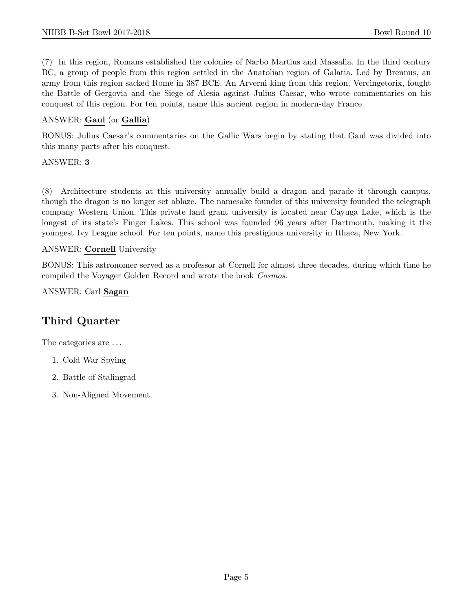(7) In this region, Romans established the colonies of Narbo Martius and Massalia. In the third century BC, a group of people from this region settled in the Anatolian region of Galatia. Led by Brennus, an army from this region sacked Rome in 387 BCE. An Arverni king from this region, Vercingetorix, fought the Battle of Gergovia and the Siege of Alesia against Julius Caesar, who wrote commentaries on his conquest of this region. For ten points, name this ancient region in modern-day France.

## ANSWER: Gaul (or Gallia)

BONUS: Julius Caesar's commentaries on the Gallic Wars begin by stating that Gaul was divided into this many parts after his conquest.

#### ANSWER: 3

(8) Architecture students at this university annually build a dragon and parade it through campus, though the dragon is no longer set ablaze. The namesake founder of this university founded the telegraph company Western Union. This private land grant university is located near Cayuga Lake, which is the longest of its state's Finger Lakes. This school was founded 96 years after Dartmouth, making it the youngest Ivy League school. For ten points, name this prestigious university in Ithaca, New York.

#### ANSWER: Cornell University

BONUS: This astronomer served as a professor at Cornell for almost three decades, during which time he compiled the Voyager Golden Record and wrote the book Cosmos.

ANSWER: Carl Sagan

# Third Quarter

The categories are  $\dots$ 

- 1. Cold War Spying
- 2. Battle of Stalingrad
- 3. Non-Aligned Movement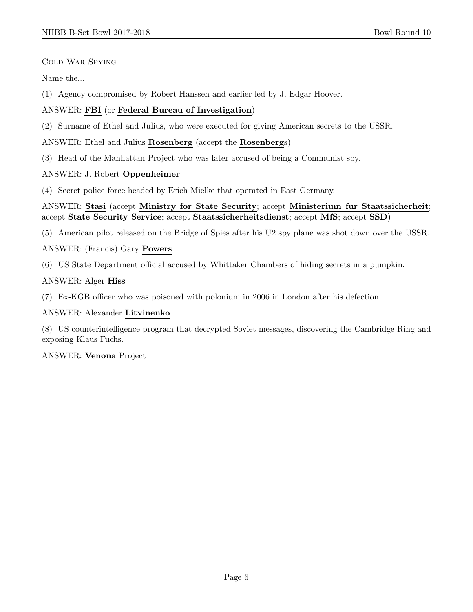Cold War Spying

Name the...

(1) Agency compromised by Robert Hanssen and earlier led by J. Edgar Hoover.

## ANSWER: FBI (or Federal Bureau of Investigation)

(2) Surname of Ethel and Julius, who were executed for giving American secrets to the USSR.

ANSWER: Ethel and Julius Rosenberg (accept the Rosenbergs)

(3) Head of the Manhattan Project who was later accused of being a Communist spy.

## ANSWER: J. Robert Oppenheimer

(4) Secret police force headed by Erich Mielke that operated in East Germany.

ANSWER: Stasi (accept Ministry for State Security; accept Ministerium fur Staatssicherheit; accept State Security Service; accept Staatssicherheitsdienst; accept MfS; accept SSD)

(5) American pilot released on the Bridge of Spies after his U2 spy plane was shot down over the USSR.

ANSWER: (Francis) Gary Powers

(6) US State Department official accused by Whittaker Chambers of hiding secrets in a pumpkin.

## ANSWER: Alger Hiss

(7) Ex-KGB officer who was poisoned with polonium in 2006 in London after his defection.

## ANSWER: Alexander Litvinenko

(8) US counterintelligence program that decrypted Soviet messages, discovering the Cambridge Ring and exposing Klaus Fuchs.

ANSWER: Venona Project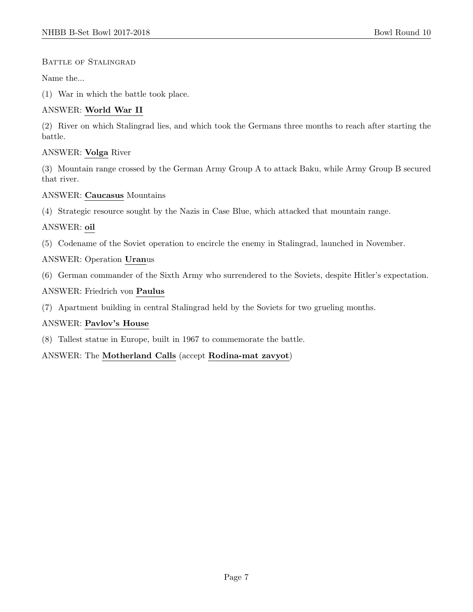## BATTLE OF STALINGRAD

Name the...

(1) War in which the battle took place.

## ANSWER: World War II

(2) River on which Stalingrad lies, and which took the Germans three months to reach after starting the battle.

## ANSWER: Volga River

(3) Mountain range crossed by the German Army Group A to attack Baku, while Army Group B secured that river.

## ANSWER: Caucasus Mountains

(4) Strategic resource sought by the Nazis in Case Blue, which attacked that mountain range.

## ANSWER: oil

(5) Codename of the Soviet operation to encircle the enemy in Stalingrad, launched in November.

## ANSWER: Operation Uranus

(6) German commander of the Sixth Army who surrendered to the Soviets, despite Hitler's expectation.

## ANSWER: Friedrich von Paulus

(7) Apartment building in central Stalingrad held by the Soviets for two grueling months.

## ANSWER: Pavlov's House

(8) Tallest statue in Europe, built in 1967 to commemorate the battle.

ANSWER: The Motherland Calls (accept Rodina-mat zavyot)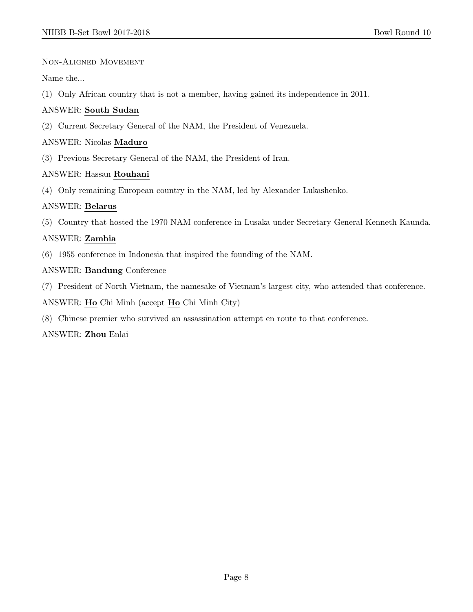Non-Aligned Movement

Name the...

(1) Only African country that is not a member, having gained its independence in 2011.

## ANSWER: South Sudan

(2) Current Secretary General of the NAM, the President of Venezuela.

## ANSWER: Nicolas Maduro

(3) Previous Secretary General of the NAM, the President of Iran.

## ANSWER: Hassan Rouhani

(4) Only remaining European country in the NAM, led by Alexander Lukashenko.

## ANSWER: Belarus

(5) Country that hosted the 1970 NAM conference in Lusaka under Secretary General Kenneth Kaunda.

## ANSWER: Zambia

(6) 1955 conference in Indonesia that inspired the founding of the NAM.

## ANSWER: Bandung Conference

(7) President of North Vietnam, the namesake of Vietnam's largest city, who attended that conference.

ANSWER: Ho Chi Minh (accept Ho Chi Minh City)

(8) Chinese premier who survived an assassination attempt en route to that conference.

## ANSWER: Zhou Enlai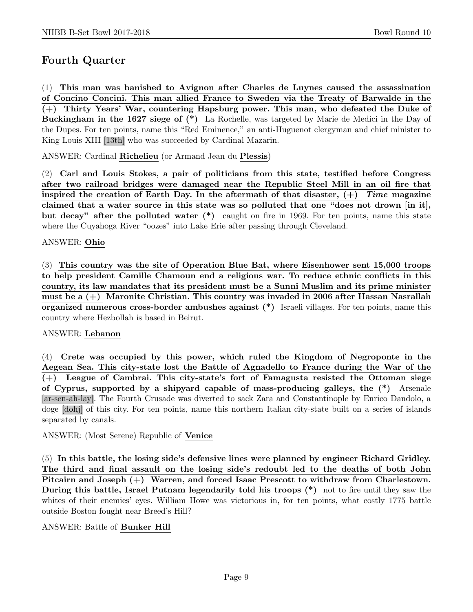# Fourth Quarter

(1) This man was banished to Avignon after Charles de Luynes caused the assassination of Concino Concini. This man allied France to Sweden via the Treaty of Barwalde in the (+) Thirty Years' War, countering Hapsburg power. This man, who defeated the Duke of Buckingham in the 1627 siege of (\*) La Rochelle, was targeted by Marie de Medici in the Day of the Dupes. For ten points, name this "Red Eminence," an anti-Huguenot clergyman and chief minister to King Louis XIII [13th] who was succeeded by Cardinal Mazarin.

ANSWER: Cardinal Richelieu (or Armand Jean du Plessis)

(2) Carl and Louis Stokes, a pair of politicians from this state, testified before Congress after two railroad bridges were damaged near the Republic Steel Mill in an oil fire that inspired the creation of Earth Day. In the aftermath of that disaster,  $(+)$  Time magazine claimed that a water source in this state was so polluted that one "does not drown [in it], but decay" after the polluted water (\*) caught on fire in 1969. For ten points, name this state where the Cuyahoga River "oozes" into Lake Erie after passing through Cleveland.

#### ANSWER: Ohio

(3) This country was the site of Operation Blue Bat, where Eisenhower sent 15,000 troops to help president Camille Chamoun end a religious war. To reduce ethnic conflicts in this country, its law mandates that its president must be a Sunni Muslim and its prime minister must be a (+) Maronite Christian. This country was invaded in 2006 after Hassan Nasrallah organized numerous cross-border ambushes against (\*) Israeli villages. For ten points, name this country where Hezbollah is based in Beirut.

#### ANSWER: Lebanon

(4) Crete was occupied by this power, which ruled the Kingdom of Negroponte in the Aegean Sea. This city-state lost the Battle of Agnadello to France during the War of the (+) League of Cambrai. This city-state's fort of Famagusta resisted the Ottoman siege of Cyprus, supported by a shipyard capable of mass-producing galleys, the (\*) Arsenale [ar-sen-ah-lay]. The Fourth Crusade was diverted to sack Zara and Constantinople by Enrico Dandolo, a doge [dohj] of this city. For ten points, name this northern Italian city-state built on a series of islands separated by canals.

ANSWER: (Most Serene) Republic of Venice

(5) In this battle, the losing side's defensive lines were planned by engineer Richard Gridley. The third and final assault on the losing side's redoubt led to the deaths of both John Pitcairn and Joseph (+) Warren, and forced Isaac Prescott to withdraw from Charlestown. During this battle, Israel Putnam legendarily told his troops (\*) not to fire until they saw the whites of their enemies' eyes. William Howe was victorious in, for ten points, what costly 1775 battle outside Boston fought near Breed's Hill?

#### ANSWER: Battle of Bunker Hill